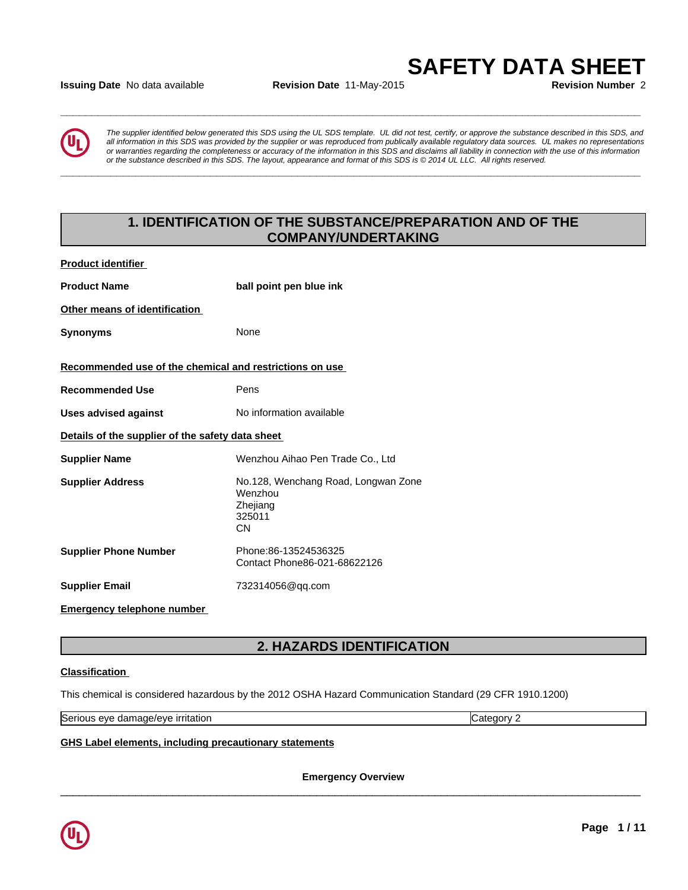## **Issuing Date** No data available **Revision Date** 11-May-2015 **Revision Number** 2



*The supplier identified below generated this SDS using the UL SDS template. UL did not test, certify, or approve the substance described in this SDS, and all information in this SDS was provided by the supplier or was reproduced from publically available regulatory data sources. UL makes no representations or warranties regarding the completeness or accuracy of the information in this SDS and disclaims all liability in connection with the use of this information* ate No data available<br>The supplier identified below generated this SDS using the UL SDS template. UL did not test, certify, or approve the substance described in this SDS, and<br>all information in this SDS was provided by th

**\_\_\_\_\_\_\_\_\_\_\_\_\_\_\_\_\_\_\_\_\_\_\_\_\_\_\_\_\_\_\_\_\_\_\_\_\_\_\_\_\_\_\_\_\_\_\_\_\_\_\_\_\_\_\_\_\_\_\_\_\_\_\_\_\_\_\_\_\_\_\_\_\_\_\_\_\_\_\_\_\_\_\_\_\_\_\_\_\_\_\_\_\_**

**\_\_\_\_\_\_\_\_\_\_\_\_\_\_\_\_\_\_\_\_\_\_\_\_\_\_\_\_\_\_\_\_\_\_\_\_\_\_\_\_\_\_\_\_\_\_\_\_\_\_\_\_\_\_\_\_\_\_\_\_\_\_\_\_\_\_\_\_\_\_\_\_\_\_\_\_\_\_\_\_\_\_\_\_\_\_\_\_\_\_\_\_\_**

# **1. IDENTIFICATION OF THE SUBSTANCE/PREPARATION AND OF THE COMPANY/UNDERTAKING**

| <b>Product identifier</b>                               |                                                                            |
|---------------------------------------------------------|----------------------------------------------------------------------------|
| <b>Product Name</b>                                     | ball point pen blue ink                                                    |
| Other means of identification                           |                                                                            |
| <b>Synonyms</b>                                         | None                                                                       |
| Recommended use of the chemical and restrictions on use |                                                                            |
| <b>Recommended Use</b>                                  | Pens                                                                       |
| <b>Uses advised against</b>                             | No information available                                                   |
| Details of the supplier of the safety data sheet        |                                                                            |
| <b>Supplier Name</b>                                    | Wenzhou Aihao Pen Trade Co., Ltd                                           |
| <b>Supplier Address</b>                                 | No.128, Wenchang Road, Longwan Zone<br>Wenzhou<br>Zhejiang<br>325011<br>CΝ |
| <b>Supplier Phone Number</b>                            | Phone:86-13524536325<br>Contact Phone86-021-68622126                       |
| <b>Supplier Email</b>                                   | 732314056@qq.com                                                           |
|                                                         |                                                                            |

**Emergency telephone number** 

# **2. HAZARDS IDENTIFICATION**

## **Classification**

This chemical is considered hazardous by the 2012 OSHA Hazard Communication Standard (29 CFR 1910.1200)

Serious eye damage/eye irritation **Category 2** and Category 2

**GHS Label elements, including precautionary statements**

**Emergency Overview**

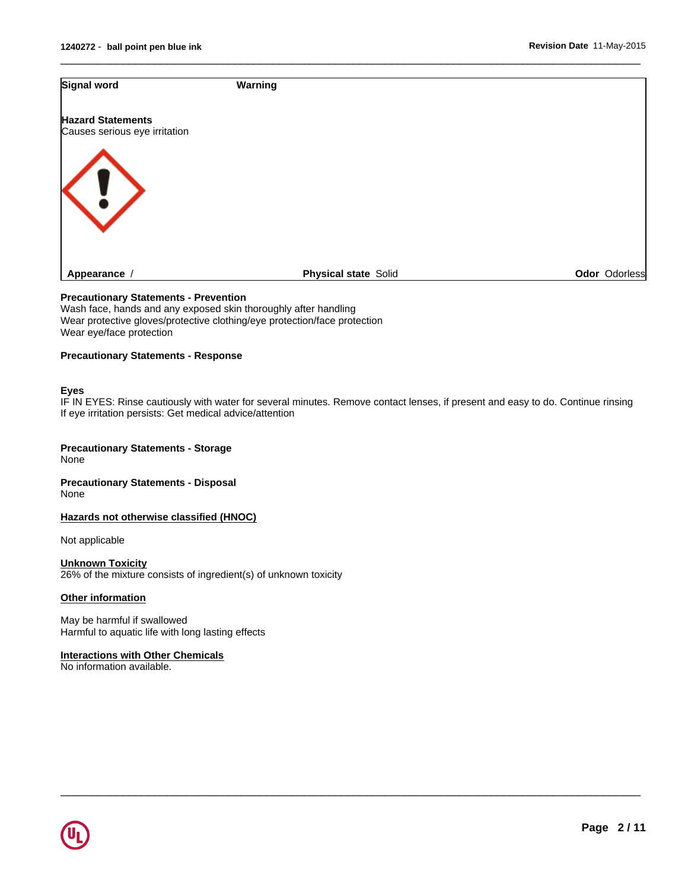| Signal word                                               | Warning                     |               |
|-----------------------------------------------------------|-----------------------------|---------------|
| <b>Hazard Statements</b><br>Causes serious eye irritation |                             |               |
|                                                           |                             |               |
| $\langle \cdot \rangle$                                   |                             |               |
| Appearance /                                              | <b>Physical state Solid</b> | Odor Odorless |

 $\overline{\phantom{a}}$  ,  $\overline{\phantom{a}}$  ,  $\overline{\phantom{a}}$  ,  $\overline{\phantom{a}}$  ,  $\overline{\phantom{a}}$  ,  $\overline{\phantom{a}}$  ,  $\overline{\phantom{a}}$  ,  $\overline{\phantom{a}}$  ,  $\overline{\phantom{a}}$  ,  $\overline{\phantom{a}}$  ,  $\overline{\phantom{a}}$  ,  $\overline{\phantom{a}}$  ,  $\overline{\phantom{a}}$  ,  $\overline{\phantom{a}}$  ,  $\overline{\phantom{a}}$  ,  $\overline{\phantom{a}}$ 

#### **Precautionary Statements - Prevention**

Wash face, hands and any exposed skin thoroughly after handling Wear protective gloves/protective clothing/eye protection/face protection Wear eye/face protection

## **Precautionary Statements - Response**

#### **Eyes**

IF IN EYES: Rinse cautiously with water for several minutes. Remove contact lenses, if present and easy to do. Continue rinsing If eye irritation persists: Get medical advice/attention

 $\overline{\phantom{a}}$  ,  $\overline{\phantom{a}}$  ,  $\overline{\phantom{a}}$  ,  $\overline{\phantom{a}}$  ,  $\overline{\phantom{a}}$  ,  $\overline{\phantom{a}}$  ,  $\overline{\phantom{a}}$  ,  $\overline{\phantom{a}}$  ,  $\overline{\phantom{a}}$  ,  $\overline{\phantom{a}}$  ,  $\overline{\phantom{a}}$  ,  $\overline{\phantom{a}}$  ,  $\overline{\phantom{a}}$  ,  $\overline{\phantom{a}}$  ,  $\overline{\phantom{a}}$  ,  $\overline{\phantom{a}}$ 

#### **Precautionary Statements - Storage** None

**Precautionary Statements - Disposal** None

**Hazards not otherwise classified (HNOC)**

Not applicable

**Unknown Toxicity** 26% of the mixture consists of ingredient(s) of unknown toxicity

## **Other information**

May be harmful if swallowed Harmful to aquatic life with long lasting effects

## **Interactions with Other Chemicals**

No information available.

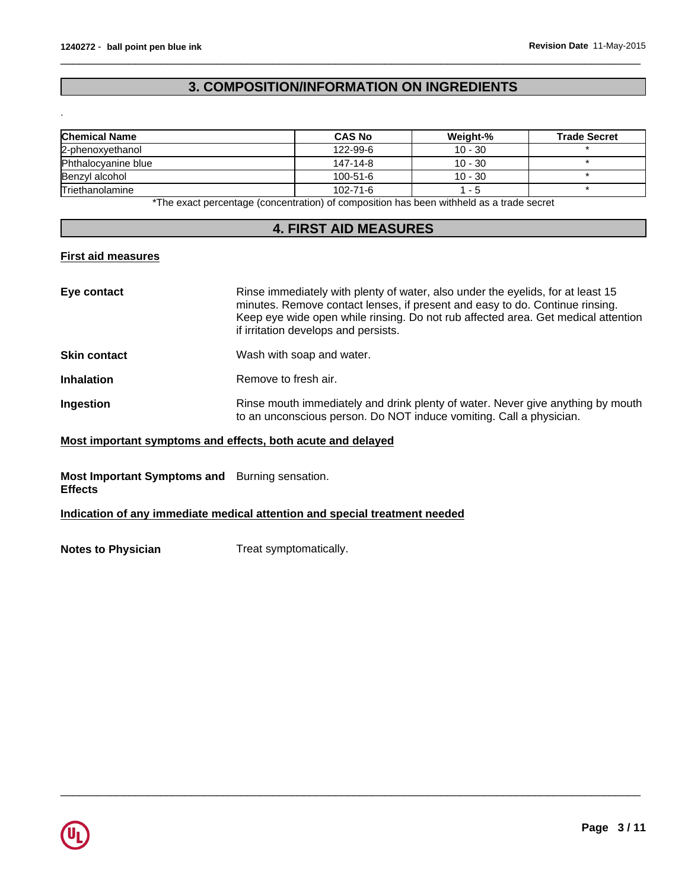# **3. COMPOSITION/INFORMATION ON INGREDIENTS**

 $\overline{\phantom{a}}$  ,  $\overline{\phantom{a}}$  ,  $\overline{\phantom{a}}$  ,  $\overline{\phantom{a}}$  ,  $\overline{\phantom{a}}$  ,  $\overline{\phantom{a}}$  ,  $\overline{\phantom{a}}$  ,  $\overline{\phantom{a}}$  ,  $\overline{\phantom{a}}$  ,  $\overline{\phantom{a}}$  ,  $\overline{\phantom{a}}$  ,  $\overline{\phantom{a}}$  ,  $\overline{\phantom{a}}$  ,  $\overline{\phantom{a}}$  ,  $\overline{\phantom{a}}$  ,  $\overline{\phantom{a}}$ 

| <b>Chemical Name</b>   | <b>CAS No</b>  | Weight-%  | <b>Trade Secret</b> |
|------------------------|----------------|-----------|---------------------|
| 2-phenoxyethanol       | 122-99-6       | $10 - 30$ |                     |
| Phthalocvanine blue    | 147-14-8       | $10 - 30$ |                     |
| Benzyl alcohol         | $100 - 51 - 6$ | $10 - 30$ |                     |
| <b>Triethanolamine</b> | 102-71-6       | - 5       |                     |

\*The exact percentage (concentration) of composition has been withheld as a trade secret

## **4. FIRST AID MEASURES**

## **First aid measures**

.

| Eye contact         | Rinse immediately with plenty of water, also under the eyelids, for at least 15<br>minutes. Remove contact lenses, if present and easy to do. Continue rinsing.<br>Keep eye wide open while rinsing. Do not rub affected area. Get medical attention<br>if irritation develops and persists. |
|---------------------|----------------------------------------------------------------------------------------------------------------------------------------------------------------------------------------------------------------------------------------------------------------------------------------------|
| <b>Skin contact</b> | Wash with soap and water.                                                                                                                                                                                                                                                                    |
| <b>Inhalation</b>   | Remove to fresh air.                                                                                                                                                                                                                                                                         |
| Ingestion           | Rinse mouth immediately and drink plenty of water. Never give anything by mouth<br>to an unconscious person. Do NOT induce vomiting. Call a physician.                                                                                                                                       |

 $\overline{\phantom{a}}$  ,  $\overline{\phantom{a}}$  ,  $\overline{\phantom{a}}$  ,  $\overline{\phantom{a}}$  ,  $\overline{\phantom{a}}$  ,  $\overline{\phantom{a}}$  ,  $\overline{\phantom{a}}$  ,  $\overline{\phantom{a}}$  ,  $\overline{\phantom{a}}$  ,  $\overline{\phantom{a}}$  ,  $\overline{\phantom{a}}$  ,  $\overline{\phantom{a}}$  ,  $\overline{\phantom{a}}$  ,  $\overline{\phantom{a}}$  ,  $\overline{\phantom{a}}$  ,  $\overline{\phantom{a}}$ 

## **Most important symptoms and effects, both acute and delayed**

## **Most Important Symptoms and** Burning sensation. **Effects**

## **Indication of any immediate medical attention and special treatment needed**

**Notes to Physician** Treat symptomatically.

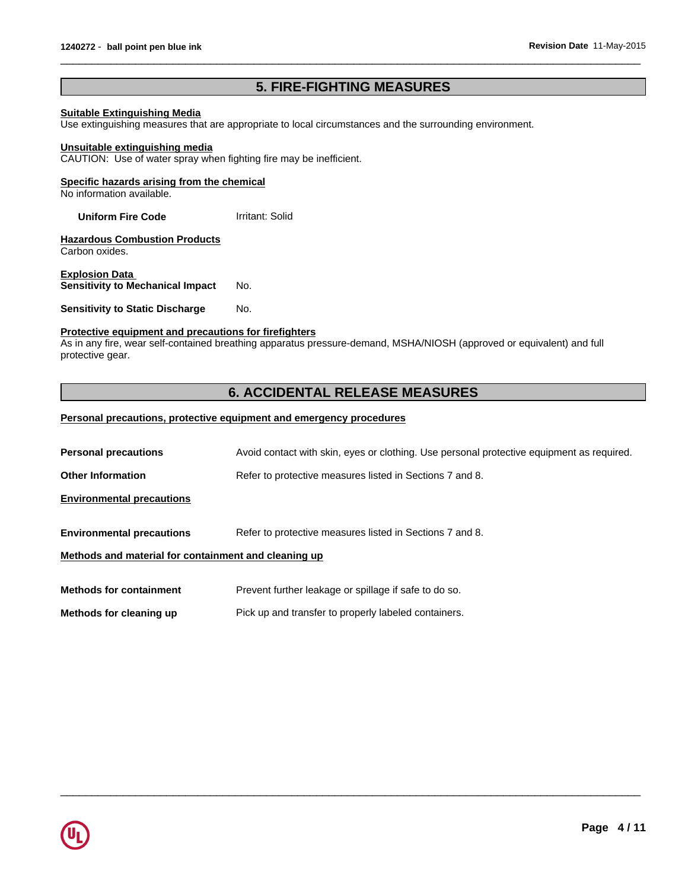# **5. FIRE-FIGHTING MEASURES**

 $\overline{\phantom{a}}$  ,  $\overline{\phantom{a}}$  ,  $\overline{\phantom{a}}$  ,  $\overline{\phantom{a}}$  ,  $\overline{\phantom{a}}$  ,  $\overline{\phantom{a}}$  ,  $\overline{\phantom{a}}$  ,  $\overline{\phantom{a}}$  ,  $\overline{\phantom{a}}$  ,  $\overline{\phantom{a}}$  ,  $\overline{\phantom{a}}$  ,  $\overline{\phantom{a}}$  ,  $\overline{\phantom{a}}$  ,  $\overline{\phantom{a}}$  ,  $\overline{\phantom{a}}$  ,  $\overline{\phantom{a}}$ 

## **Suitable Extinguishing Media**

Use extinguishing measures that are appropriate to local circumstances and the surrounding environment.

#### **Unsuitable extinguishing media**

CAUTION: Use of water spray when fighting fire may be inefficient.

## **Specific hazards arising from the chemical**

No information available.

**Uniform Fire Code Irritant: Solid** 

**Hazardous Combustion Products** Carbon oxides.

**Explosion Data Sensitivity to Mechanical Impact** No.

**Sensitivity to Static Discharge No.** 

## **Protective equipment and precautions for firefighters**

As in any fire, wear self-contained breathing apparatus pressure-demand, MSHA/NIOSH (approved or equivalent) and full protective gear.

# **6. ACCIDENTAL RELEASE MEASURES**

## **Personal precautions, protective equipment and emergency procedures**

| <b>Personal precautions</b>                          | Avoid contact with skin, eyes or clothing. Use personal protective equipment as required. |
|------------------------------------------------------|-------------------------------------------------------------------------------------------|
| <b>Other Information</b>                             | Refer to protective measures listed in Sections 7 and 8.                                  |
| <b>Environmental precautions</b>                     |                                                                                           |
| <b>Environmental precautions</b>                     | Refer to protective measures listed in Sections 7 and 8.                                  |
| Methods and material for containment and cleaning up |                                                                                           |
| <b>Methods for containment</b>                       | Prevent further leakage or spillage if safe to do so.                                     |
| Methods for cleaning up                              | Pick up and transfer to properly labeled containers.                                      |

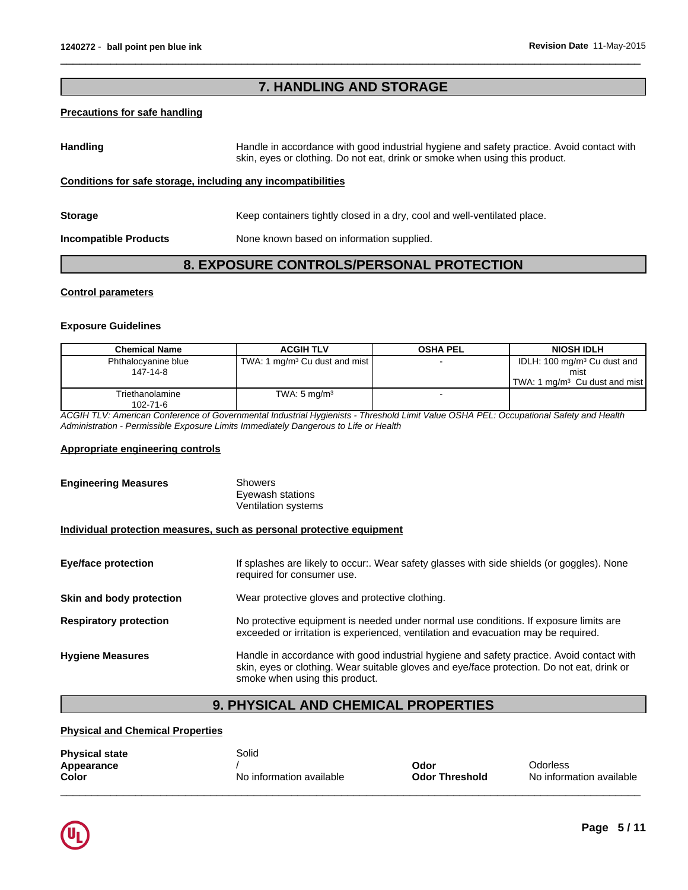# **7. HANDLING AND STORAGE**

## **Precautions for safe handling**

Handling **Handling** Handle in accordance with good industrial hygiene and safety practice. Avoid contact with skin, eyes or clothing. Do not eat, drink or smoke when using this product.

 $\overline{\phantom{a}}$  ,  $\overline{\phantom{a}}$  ,  $\overline{\phantom{a}}$  ,  $\overline{\phantom{a}}$  ,  $\overline{\phantom{a}}$  ,  $\overline{\phantom{a}}$  ,  $\overline{\phantom{a}}$  ,  $\overline{\phantom{a}}$  ,  $\overline{\phantom{a}}$  ,  $\overline{\phantom{a}}$  ,  $\overline{\phantom{a}}$  ,  $\overline{\phantom{a}}$  ,  $\overline{\phantom{a}}$  ,  $\overline{\phantom{a}}$  ,  $\overline{\phantom{a}}$  ,  $\overline{\phantom{a}}$ 

## **Conditions for safe storage, including any incompatibilities**

| <b>Storage</b>               | Keep containers tightly closed in a dry, cool and well-ventilated place. |
|------------------------------|--------------------------------------------------------------------------|
| <b>Incompatible Products</b> | None known based on information supplied.                                |

## **8. EXPOSURE CONTROLS/PERSONAL PROTECTION**

## **Control parameters**

#### **Exposure Guidelines**

| <b>Chemical Name</b>        | <b>ACGIH TLV</b>                          | OSHA PEL | <b>NIOSH IDLH</b>                         |
|-----------------------------|-------------------------------------------|----------|-------------------------------------------|
| Phthalocvanine blue         | TWA: 1 mg/m <sup>3</sup> Cu dust and mist |          | IDLH: 100 mg/m <sup>3</sup> Cu dust and   |
| 147-14-8                    |                                           |          | mist                                      |
|                             |                                           |          | TWA: 1 mg/m <sup>3</sup> Cu dust and mist |
| Triethanolamine<br>102-71-6 | TWA: $5 \text{ mg/m}^3$                   |          |                                           |

*ACGIH TLV: American Conference of Governmental Industrial Hygienists - Threshold Limit Value OSHA PEL: Occupational Safety and Health Administration - Permissible Exposure Limits Immediately Dangerous to Life or Health*

## **Appropriate engineering controls**

| <b>Engineering Measures</b>                                           | <b>Showers</b><br>Eyewash stations<br><b>Ventilation systems</b>                                                                                                                                                          |
|-----------------------------------------------------------------------|---------------------------------------------------------------------------------------------------------------------------------------------------------------------------------------------------------------------------|
| Individual protection measures, such as personal protective equipment |                                                                                                                                                                                                                           |
| <b>Eye/face protection</b>                                            | If splashes are likely to occur:. Wear safety glasses with side shields (or goggles). None<br>required for consumer use.                                                                                                  |
| Skin and body protection                                              | Wear protective gloves and protective clothing.                                                                                                                                                                           |
| <b>Respiratory protection</b>                                         | No protective equipment is needed under normal use conditions. If exposure limits are<br>exceeded or irritation is experienced, ventilation and evacuation may be required.                                               |
| <b>Hygiene Measures</b>                                               | Handle in accordance with good industrial hygiene and safety practice. Avoid contact with<br>skin, eyes or clothing. Wear suitable gloves and eye/face protection. Do not eat, drink or<br>smoke when using this product. |

# **9. PHYSICAL AND CHEMICAL PROPERTIES**

## **Physical and Chemical Properties**

| <b>Physical state</b> | Solid                    |                       |                          |
|-----------------------|--------------------------|-----------------------|--------------------------|
| Appearance            |                          | Odor                  | Odorless                 |
| Color                 | No information available | <b>Odor Threshold</b> | No information available |
|                       |                          |                       |                          |

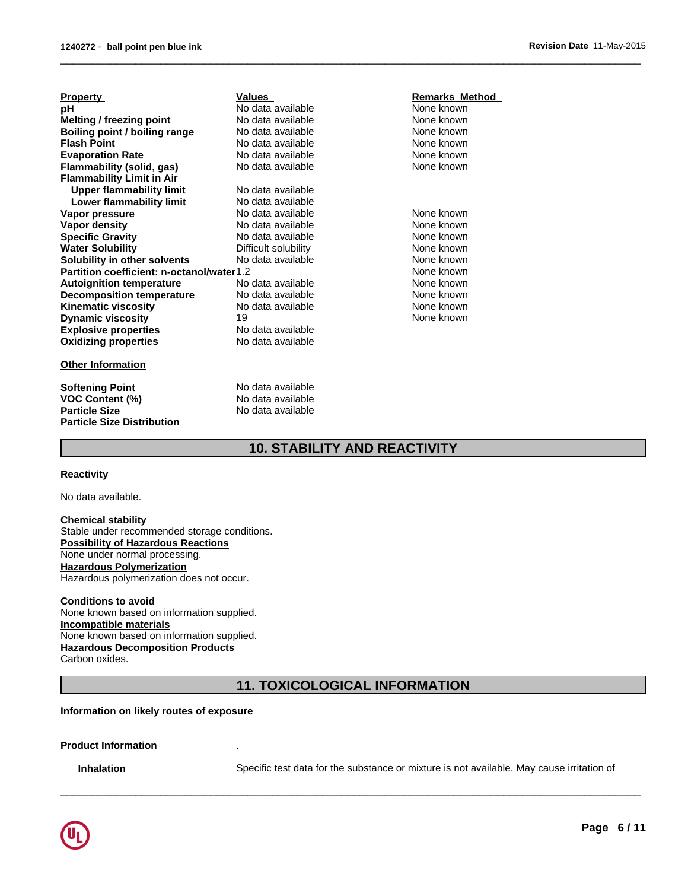| <b>Property</b>                           | Values               | Remarks Method |
|-------------------------------------------|----------------------|----------------|
| рH                                        | No data available    | None known     |
| <b>Melting / freezing point</b>           | No data available    | None known     |
| Boiling point / boiling range             | No data available    | None known     |
| <b>Flash Point</b>                        | No data available    | None known     |
| <b>Evaporation Rate</b>                   | No data available    | None known     |
| Flammability (solid, gas)                 | No data available    | None known     |
| <b>Flammability Limit in Air</b>          |                      |                |
| <b>Upper flammability limit</b>           | No data available    |                |
| Lower flammability limit                  | No data available    |                |
| Vapor pressure                            | No data available    | None known     |
| Vapor density                             | No data available    | None known     |
| <b>Specific Gravity</b>                   | No data available    | None known     |
| <b>Water Solubility</b>                   | Difficult solubility | None known     |
| Solubility in other solvents              | No data available    | None known     |
| Partition coefficient: n-octanol/water1.2 |                      | None known     |
| <b>Autoignition temperature</b>           | No data available    | None known     |
| <b>Decomposition temperature</b>          | No data available    | None known     |
| <b>Kinematic viscosity</b>                | No data available    | None known     |
| <b>Dynamic viscosity</b>                  | 19                   | None known     |
| <b>Explosive properties</b>               | No data available    |                |
| <b>Oxidizing properties</b>               | No data available    |                |
| <b>Other Information</b>                  |                      |                |

**Softening Point**<br> **VOC Content (%)**<br> **VOC Content (%)**<br> **No data available VOC Content (%)**<br>Particle Size **Particle Size Distribution**

**Particle Size** No data available

## None known None known None known None known<br>None known None known None known None known None known None known None known None known **Remarks Method**  None known None known None known

 $\overline{\phantom{a}}$  ,  $\overline{\phantom{a}}$  ,  $\overline{\phantom{a}}$  ,  $\overline{\phantom{a}}$  ,  $\overline{\phantom{a}}$  ,  $\overline{\phantom{a}}$  ,  $\overline{\phantom{a}}$  ,  $\overline{\phantom{a}}$  ,  $\overline{\phantom{a}}$  ,  $\overline{\phantom{a}}$  ,  $\overline{\phantom{a}}$  ,  $\overline{\phantom{a}}$  ,  $\overline{\phantom{a}}$  ,  $\overline{\phantom{a}}$  ,  $\overline{\phantom{a}}$  ,  $\overline{\phantom{a}}$ 

# **10. STABILITY AND REACTIVITY**

## **Reactivity**

No data available.

**Chemical stability** Stable under recommended storage conditions. **Possibility of Hazardous Reactions** None under normal processing. **Hazardous Polymerization** Hazardous polymerization does not occur.

#### **Conditions to avoid**

None known based on information supplied. **Incompatible materials** None known based on information supplied. **Hazardous Decomposition Products** Carbon oxides.

## **11. TOXICOLOGICAL INFORMATION**

#### **Information on likely routes of exposure**

**Product Information** .

**Inhalation** Specific test data for the substance or mixture is not available. May cause irritation of

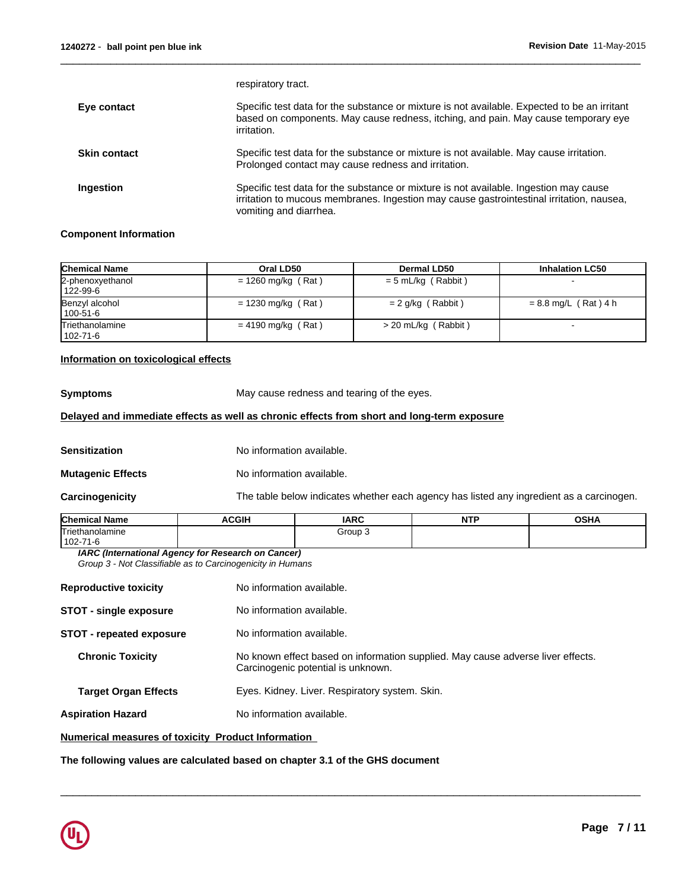| respiratory tract.                                                                                                                                                                                          |
|-------------------------------------------------------------------------------------------------------------------------------------------------------------------------------------------------------------|
| Specific test data for the substance or mixture is not available. Expected to be an irritant<br>based on components. May cause redness, itching, and pain. May cause temporary eye<br>irritation.           |
| Specific test data for the substance or mixture is not available. May cause irritation.<br>Prolonged contact may cause redness and irritation.                                                              |
| Specific test data for the substance or mixture is not available. Ingestion may cause<br>irritation to mucous membranes. Ingestion may cause gastrointestinal irritation, nausea,<br>vomiting and diarrhea. |
|                                                                                                                                                                                                             |

 $\overline{\phantom{a}}$  ,  $\overline{\phantom{a}}$  ,  $\overline{\phantom{a}}$  ,  $\overline{\phantom{a}}$  ,  $\overline{\phantom{a}}$  ,  $\overline{\phantom{a}}$  ,  $\overline{\phantom{a}}$  ,  $\overline{\phantom{a}}$  ,  $\overline{\phantom{a}}$  ,  $\overline{\phantom{a}}$  ,  $\overline{\phantom{a}}$  ,  $\overline{\phantom{a}}$  ,  $\overline{\phantom{a}}$  ,  $\overline{\phantom{a}}$  ,  $\overline{\phantom{a}}$  ,  $\overline{\phantom{a}}$ 

## **Component Information**

| <b>Chemical Name</b>         | Oral LD50            | Dermal LD50         | <b>Inhalation LC50</b> |
|------------------------------|----------------------|---------------------|------------------------|
| 2-phenoxyethanol<br>122-99-6 | $= 1260$ mg/kg (Rat) | = 5 mL/kg (Rabbit)  |                        |
| Benzyl alcohol<br>l 100-51-6 | $= 1230$ mg/kg (Rat) | = 2 g/kg (Rabbit)   | $= 8.8$ mg/L (Rat) 4 h |
| Triethanolamine<br>102-71-6  | $= 4190$ mg/kg (Rat) | > 20 mL/kg (Rabbit) |                        |

## **Information on toxicological effects**

**Symptoms** May cause redness and tearing of the eyes.

## **Delayed and immediate effects as well as chronic effects from short and long-term exposure**

**Sensitization** No information available.

**Mutagenic Effects** No information available.

**Carcinogenicity** The table below indicates whether each agency has listed any ingredient as a carcinogen.

 $\overline{\phantom{a}}$  ,  $\overline{\phantom{a}}$  ,  $\overline{\phantom{a}}$  ,  $\overline{\phantom{a}}$  ,  $\overline{\phantom{a}}$  ,  $\overline{\phantom{a}}$  ,  $\overline{\phantom{a}}$  ,  $\overline{\phantom{a}}$  ,  $\overline{\phantom{a}}$  ,  $\overline{\phantom{a}}$  ,  $\overline{\phantom{a}}$  ,  $\overline{\phantom{a}}$  ,  $\overline{\phantom{a}}$  ,  $\overline{\phantom{a}}$  ,  $\overline{\phantom{a}}$  ,  $\overline{\phantom{a}}$ 

| <b>Chemical Name</b>               | <b>ACGIF</b> | <b>IARC</b> | <b>NITI</b><br>. | OCDA<br>UJNA |
|------------------------------------|--------------|-------------|------------------|--------------|
| Triethanolamine                    |              | Group       |                  |              |
| $102 - 1$<br>$\overline{z}$<br>. . |              |             |                  |              |

*IARC (International Agency for Research on Cancer) Group 3 - Not Classifiable as to Carcinogenicity in Humans*

| <b>Reproductive toxicity</b>  | No information available.                                                                                             |
|-------------------------------|-----------------------------------------------------------------------------------------------------------------------|
| <b>STOT - single exposure</b> | No information available.                                                                                             |
| STOT - repeated exposure      | No information available.                                                                                             |
| <b>Chronic Toxicity</b>       | No known effect based on information supplied. May cause adverse liver effects.<br>Carcinogenic potential is unknown. |
| <b>Target Organ Effects</b>   | Eyes. Kidney. Liver. Respiratory system. Skin.                                                                        |
| <b>Aspiration Hazard</b>      | No information available.                                                                                             |
|                               |                                                                                                                       |

## **Numerical measures of toxicity Product Information**

**The following values are calculated based on chapter 3.1 of the GHS document**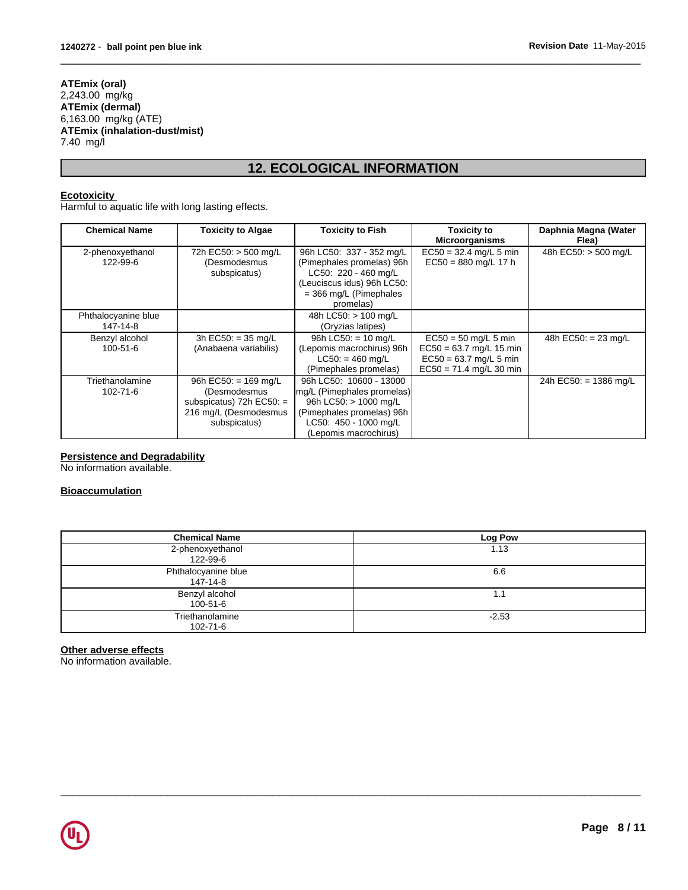#### **ATEmix (oral)** 2,243.00 mg/kg **ATEmix (dermal)** 6,163.00 mg/kg (ATE) **ATEmix (inhalation-dust/mist)** 7.40 mg/l

# **12. ECOLOGICAL INFORMATION**

 $\overline{\phantom{a}}$  ,  $\overline{\phantom{a}}$  ,  $\overline{\phantom{a}}$  ,  $\overline{\phantom{a}}$  ,  $\overline{\phantom{a}}$  ,  $\overline{\phantom{a}}$  ,  $\overline{\phantom{a}}$  ,  $\overline{\phantom{a}}$  ,  $\overline{\phantom{a}}$  ,  $\overline{\phantom{a}}$  ,  $\overline{\phantom{a}}$  ,  $\overline{\phantom{a}}$  ,  $\overline{\phantom{a}}$  ,  $\overline{\phantom{a}}$  ,  $\overline{\phantom{a}}$  ,  $\overline{\phantom{a}}$ 

## **Ecotoxicity**

Harmful to aquatic life with long lasting effects.

| <b>Chemical Name</b>              | <b>Toxicity to Algae</b>                                                                                      | <b>Toxicity to Fish</b>                                                                                                                                       | Toxicity to<br><b>Microorganisms</b>                                                                         | Daphnia Magna (Water<br>Flea) |
|-----------------------------------|---------------------------------------------------------------------------------------------------------------|---------------------------------------------------------------------------------------------------------------------------------------------------------------|--------------------------------------------------------------------------------------------------------------|-------------------------------|
| 2-phenoxyethanol<br>122-99-6      | 72h EC50: > 500 mg/L<br>(Desmodesmus<br>subspicatus)                                                          | 96h LC50: 337 - 352 mg/L<br>(Pimephales promelas) 96h<br>LC50: 220 - 460 mg/L<br>(Leuciscus idus) 96h LC50:<br>$=$ 366 mg/L (Pimephales<br>promelas)          | $EC50 = 32.4$ mg/L 5 min<br>$EC50 = 880$ mg/L 17 h                                                           | 48h EC50: > 500 mg/L          |
| Phthalocyanine blue<br>147-14-8   |                                                                                                               | 48h LC50: > 100 mg/L<br>(Oryzias latipes)                                                                                                                     |                                                                                                              |                               |
| Benzyl alcohol<br>$100 - 51 - 6$  | 3h EC50: = $35 \text{ mg/L}$<br>(Anabaena variabilis)                                                         | 96h LC50: $= 10$ mg/L<br>(Lepomis macrochirus) 96h<br>$LC50: = 460$ mg/L<br>(Pimephales promelas)                                                             | $EC50 = 50$ mg/L 5 min<br>$EC50 = 63.7$ mg/L 15 min<br>$EC50 = 63.7$ mg/L 5 min<br>$EC50 = 71.4$ mg/L 30 min | 48h EC50: $= 23$ mg/L         |
| Triethanolamine<br>$102 - 71 - 6$ | 96h EC50: = $169$ mg/L<br>(Desmodesmus<br>subspicatus) $72h$ EC50: =<br>216 mg/L (Desmodesmus<br>subspicatus) | 96h LC50: 10600 - 13000<br>mg/L (Pimephales promelas)<br>96h LC50: > 1000 mg/L<br>(Pimephales promelas) 96h<br>LC50: 450 - 1000 mg/L<br>(Lepomis macrochirus) |                                                                                                              | 24h EC50: = 1386 mg/L         |

## **Persistence and Degradability**

No information available.

## **Bioaccumulation**

| <b>Chemical Name</b>            | Log Pow |
|---------------------------------|---------|
| 2-phenoxyethanol<br>122-99-6    | 1.13    |
| Phthalocyanine blue<br>147-14-8 | 6.6     |
| Benzyl alcohol<br>100-51-6      | ь.      |
| Triethanolamine<br>102-71-6     | $-2.53$ |

 $\overline{\phantom{a}}$  ,  $\overline{\phantom{a}}$  ,  $\overline{\phantom{a}}$  ,  $\overline{\phantom{a}}$  ,  $\overline{\phantom{a}}$  ,  $\overline{\phantom{a}}$  ,  $\overline{\phantom{a}}$  ,  $\overline{\phantom{a}}$  ,  $\overline{\phantom{a}}$  ,  $\overline{\phantom{a}}$  ,  $\overline{\phantom{a}}$  ,  $\overline{\phantom{a}}$  ,  $\overline{\phantom{a}}$  ,  $\overline{\phantom{a}}$  ,  $\overline{\phantom{a}}$  ,  $\overline{\phantom{a}}$ 

## **Other adverse effects**

No information available.

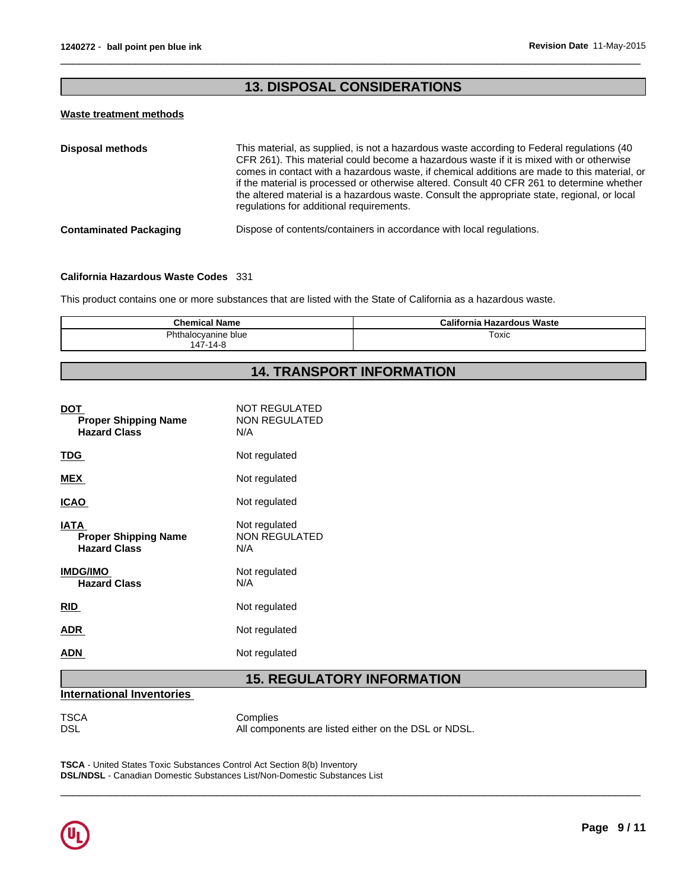## **13. DISPOSAL CONSIDERATIONS**

 $\overline{\phantom{a}}$  ,  $\overline{\phantom{a}}$  ,  $\overline{\phantom{a}}$  ,  $\overline{\phantom{a}}$  ,  $\overline{\phantom{a}}$  ,  $\overline{\phantom{a}}$  ,  $\overline{\phantom{a}}$  ,  $\overline{\phantom{a}}$  ,  $\overline{\phantom{a}}$  ,  $\overline{\phantom{a}}$  ,  $\overline{\phantom{a}}$  ,  $\overline{\phantom{a}}$  ,  $\overline{\phantom{a}}$  ,  $\overline{\phantom{a}}$  ,  $\overline{\phantom{a}}$  ,  $\overline{\phantom{a}}$ 

## **Waste treatment methods**

| <b>Disposal methods</b>       | This material, as supplied, is not a hazardous waste according to Federal regulations (40<br>CFR 261). This material could become a hazardous waste if it is mixed with or otherwise<br>comes in contact with a hazardous waste, if chemical additions are made to this material, or<br>if the material is processed or otherwise altered. Consult 40 CFR 261 to determine whether<br>the altered material is a hazardous waste. Consult the appropriate state, regional, or local<br>regulations for additional requirements. |
|-------------------------------|--------------------------------------------------------------------------------------------------------------------------------------------------------------------------------------------------------------------------------------------------------------------------------------------------------------------------------------------------------------------------------------------------------------------------------------------------------------------------------------------------------------------------------|
| <b>Contaminated Packaging</b> | Dispose of contents/containers in accordance with local regulations.                                                                                                                                                                                                                                                                                                                                                                                                                                                           |

## **California Hazardous Waste Codes** 331

This product contains one or more substances that are listed with the State of California as a hazardous waste.

| <b>Chemical Name</b>                            | เ Hazardous Waste<br>California |
|-------------------------------------------------|---------------------------------|
| $Dh+1$<br>'hthalocvanine blue<br>$147 - 14 - 8$ | ™oxic                           |

# **14. TRANSPORT INFORMATION**

| <b>DOT</b><br><b>Proper Shipping Name</b><br><b>Hazard Class</b>  | <b>NOT REGULATED</b><br><b>NON REGULATED</b><br>N/A |
|-------------------------------------------------------------------|-----------------------------------------------------|
| <u>TDG</u>                                                        | Not regulated                                       |
| <b>MEX</b>                                                        | Not regulated                                       |
| <b>ICAO</b>                                                       | Not regulated                                       |
| <b>IATA</b><br><b>Proper Shipping Name</b><br><b>Hazard Class</b> | Not regulated<br><b>NON REGULATED</b><br>N/A        |
| <b>IMDG/IMO</b><br><b>Hazard Class</b>                            | Not regulated<br>N/A                                |
| <b>RID</b>                                                        | Not regulated                                       |
| <b>ADR</b>                                                        | Not regulated                                       |
| ADN                                                               | Not regulated                                       |

# **15. REGULATORY INFORMATION**

## **International Inventories**

TSCA Complies<br>DSL All compo All components are listed either on the DSL or NDSL.

 $\overline{\phantom{a}}$  ,  $\overline{\phantom{a}}$  ,  $\overline{\phantom{a}}$  ,  $\overline{\phantom{a}}$  ,  $\overline{\phantom{a}}$  ,  $\overline{\phantom{a}}$  ,  $\overline{\phantom{a}}$  ,  $\overline{\phantom{a}}$  ,  $\overline{\phantom{a}}$  ,  $\overline{\phantom{a}}$  ,  $\overline{\phantom{a}}$  ,  $\overline{\phantom{a}}$  ,  $\overline{\phantom{a}}$  ,  $\overline{\phantom{a}}$  ,  $\overline{\phantom{a}}$  ,  $\overline{\phantom{a}}$ 

**TSCA** - United States Toxic Substances Control Act Section 8(b) Inventory **DSL/NDSL** - Canadian Domestic Substances List/Non-Domestic Substances List

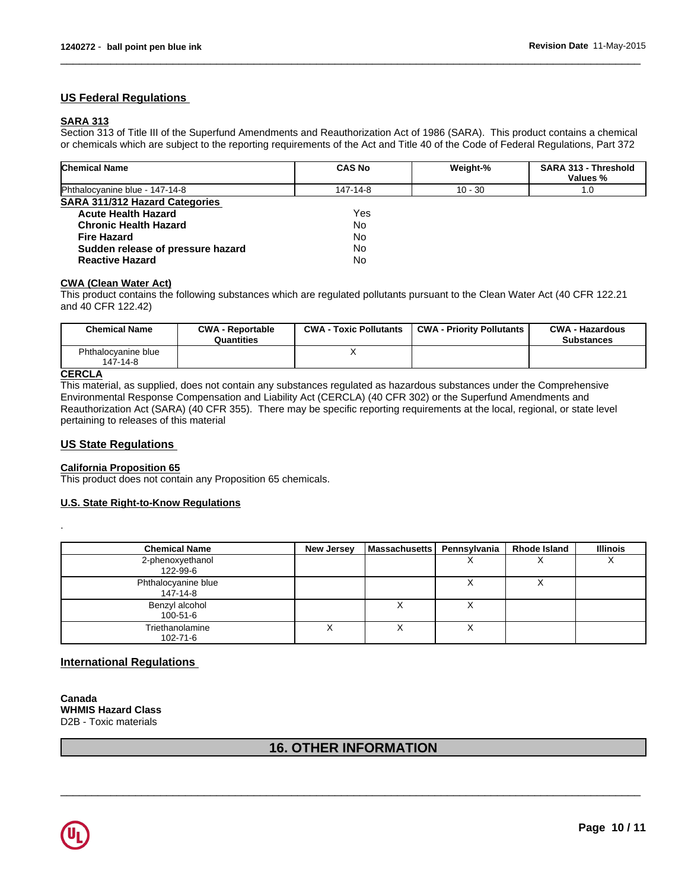## **US Federal Regulations**

## **SARA 313**

Section 313 of Title III of the Superfund Amendments and Reauthorization Act of 1986 (SARA). This product contains a chemical or chemicals which are subject to the reporting requirements of the Act and Title 40 of the Code of Federal Regulations, Part 372

 $\overline{\phantom{a}}$  ,  $\overline{\phantom{a}}$  ,  $\overline{\phantom{a}}$  ,  $\overline{\phantom{a}}$  ,  $\overline{\phantom{a}}$  ,  $\overline{\phantom{a}}$  ,  $\overline{\phantom{a}}$  ,  $\overline{\phantom{a}}$  ,  $\overline{\phantom{a}}$  ,  $\overline{\phantom{a}}$  ,  $\overline{\phantom{a}}$  ,  $\overline{\phantom{a}}$  ,  $\overline{\phantom{a}}$  ,  $\overline{\phantom{a}}$  ,  $\overline{\phantom{a}}$  ,  $\overline{\phantom{a}}$ 

| <b>Chemical Name</b>              | <b>CAS No</b> | Weight-%  | SARA 313 - Threshold<br>Values % |
|-----------------------------------|---------------|-----------|----------------------------------|
| Phthalocyanine blue - 147-14-8    | 147-14-8      | $10 - 30$ | 1.0                              |
| SARA 311/312 Hazard Categories    |               |           |                                  |
| <b>Acute Health Hazard</b>        | Yes           |           |                                  |
| <b>Chronic Health Hazard</b>      | No            |           |                                  |
| <b>Fire Hazard</b>                | <b>No</b>     |           |                                  |
| Sudden release of pressure hazard | No            |           |                                  |
| <b>Reactive Hazard</b>            | No            |           |                                  |

#### **CWA (Clean Water Act)**

This product contains the following substances which are regulated pollutants pursuant to the Clean Water Act (40 CFR 122.21 and 40 CFR 122.42)

| <b>Chemical Name</b>            | <b>CWA - Reportable</b><br>Quantities | <b>CWA - Toxic Pollutants</b> | <b>CWA - Priority Pollutants</b> | <b>CWA - Hazardous</b><br><b>Substances</b> |
|---------------------------------|---------------------------------------|-------------------------------|----------------------------------|---------------------------------------------|
| Phthalocvanine blue<br>147-14-8 |                                       |                               |                                  |                                             |
| $\cdots$                        |                                       |                               |                                  |                                             |

## **CERCLA**

.

This material, as supplied, does not contain any substances regulated as hazardous substances under the Comprehensive Environmental Response Compensation and Liability Act (CERCLA) (40 CFR 302) or the Superfund Amendments and Reauthorization Act (SARA) (40 CFR 355). There may be specific reporting requirements at the local, regional, or state level pertaining to releases of this material

#### **US State Regulations**

#### **California Proposition 65**

This product does not contain any Proposition 65 chemicals.

#### **U.S. State Right-to-Know Regulations**

| <b>Chemical Name</b>            | <b>New Jersey</b> | Massachusetts | Pennsvlvania | <b>Rhode Island</b> | <b>Illinois</b> |
|---------------------------------|-------------------|---------------|--------------|---------------------|-----------------|
| 2-phenoxyethanol<br>122-99-6    |                   |               | $\lambda$    |                     | $\lambda$       |
| Phthalocyanine blue<br>147-14-8 |                   |               |              |                     |                 |
| Benzyl alcohol<br>100-51-6      |                   |               |              |                     |                 |
| Triethanolamine<br>102-71-6     |                   |               | Λ            |                     |                 |

## **International Regulations**

**Canada WHMIS Hazard Class** D2B - Toxic materials

## **16. OTHER INFORMATION**